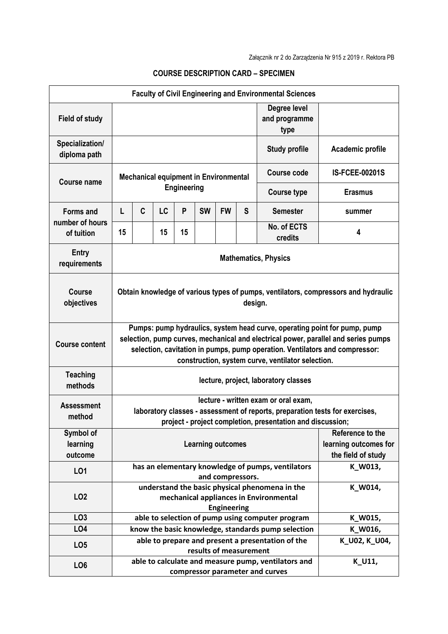|                                                   |                                                                                                                                                                                                                                                                                                     |                                                                                  |    |    |           |           |                                       | <b>Faculty of Civil Engineering and Environmental Sciences</b> |                  |  |
|---------------------------------------------------|-----------------------------------------------------------------------------------------------------------------------------------------------------------------------------------------------------------------------------------------------------------------------------------------------------|----------------------------------------------------------------------------------|----|----|-----------|-----------|---------------------------------------|----------------------------------------------------------------|------------------|--|
| <b>Field of study</b>                             |                                                                                                                                                                                                                                                                                                     |                                                                                  |    |    |           |           | Degree level<br>and programme<br>type |                                                                |                  |  |
| Specialization/<br>diploma path                   |                                                                                                                                                                                                                                                                                                     |                                                                                  |    |    |           |           |                                       | <b>Study profile</b>                                           | Academic profile |  |
| <b>Course name</b>                                | <b>Mechanical equipment in Environmental</b><br><b>Engineering</b>                                                                                                                                                                                                                                  |                                                                                  |    |    |           |           | <b>Course code</b>                    | <b>IS-FCEE-00201S</b>                                          |                  |  |
|                                                   |                                                                                                                                                                                                                                                                                                     |                                                                                  |    |    |           |           | <b>Course type</b>                    | <b>Erasmus</b>                                                 |                  |  |
| <b>Forms and</b><br>number of hours<br>of tuition | L                                                                                                                                                                                                                                                                                                   | C                                                                                | LC | P  | <b>SW</b> | <b>FW</b> | S                                     | <b>Semester</b>                                                | summer           |  |
|                                                   | 15                                                                                                                                                                                                                                                                                                  |                                                                                  | 15 | 15 |           |           |                                       | No. of ECTS<br>credits                                         | 4                |  |
| <b>Entry</b><br>requirements                      | <b>Mathematics, Physics</b>                                                                                                                                                                                                                                                                         |                                                                                  |    |    |           |           |                                       |                                                                |                  |  |
| <b>Course</b><br>objectives                       | Obtain knowledge of various types of pumps, ventilators, compressors and hydraulic<br>design.                                                                                                                                                                                                       |                                                                                  |    |    |           |           |                                       |                                                                |                  |  |
| <b>Course content</b>                             | Pumps: pump hydraulics, system head curve, operating point for pump, pump<br>selection, pump curves, mechanical and electrical power, parallel and series pumps<br>selection, cavitation in pumps, pump operation. Ventilators and compressor:<br>construction, system curve, ventilator selection. |                                                                                  |    |    |           |           |                                       |                                                                |                  |  |
| <b>Teaching</b><br>methods                        | lecture, project, laboratory classes                                                                                                                                                                                                                                                                |                                                                                  |    |    |           |           |                                       |                                                                |                  |  |
| <b>Assessment</b><br>method                       | lecture - written exam or oral exam,<br>laboratory classes - assessment of reports, preparation tests for exercises,<br>project - project completion, presentation and discussion;                                                                                                                  |                                                                                  |    |    |           |           |                                       |                                                                |                  |  |
| Symbol of<br>learning<br>outcome                  | Reference to the<br><b>Learning outcomes</b><br>learning outcomes for<br>the field of study                                                                                                                                                                                                         |                                                                                  |    |    |           |           |                                       |                                                                |                  |  |
| L01                                               |                                                                                                                                                                                                                                                                                                     | has an elementary knowledge of pumps, ventilators<br>K_W013,<br>and compressors. |    |    |           |           |                                       |                                                                |                  |  |
| LO <sub>2</sub>                                   | understand the basic physical phenomena in the<br>mechanical appliances in Environmental<br><b>Engineering</b>                                                                                                                                                                                      |                                                                                  |    |    |           |           |                                       |                                                                | K_W014,          |  |
| LO <sub>3</sub>                                   |                                                                                                                                                                                                                                                                                                     |                                                                                  |    |    |           |           |                                       | able to selection of pump using computer program               | K_W015,          |  |
| LO <sub>4</sub>                                   |                                                                                                                                                                                                                                                                                                     |                                                                                  |    |    |           |           |                                       |                                                                | K_W016,          |  |
| LO <sub>5</sub>                                   | know the basic knowledge, standards pump selection<br>able to prepare and present a presentation of the<br>results of measurement                                                                                                                                                                   |                                                                                  |    |    |           |           |                                       |                                                                | K_U02, K_U04,    |  |
| LO <sub>6</sub>                                   | able to calculate and measure pump, ventilators and<br>compressor parameter and curves                                                                                                                                                                                                              |                                                                                  |    |    |           |           | K_U11,                                |                                                                |                  |  |

## **COURSE DESCRIPTION CARD – SPECIMEN**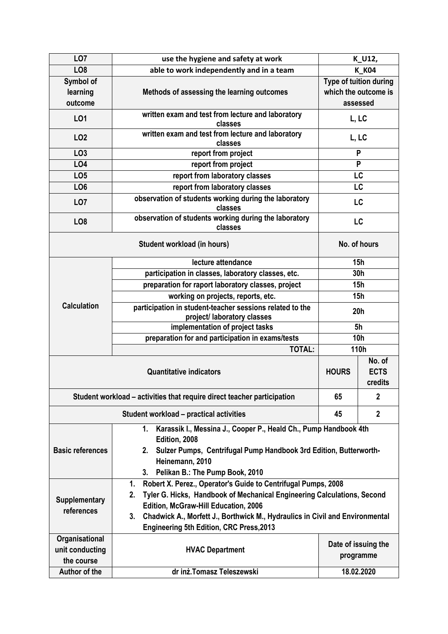| LO <sub>7</sub>                                                         | use the hygiene and safety at work                                                                                                                                                 | K_U12,                           |      |  |  |  |  |  |  |
|-------------------------------------------------------------------------|------------------------------------------------------------------------------------------------------------------------------------------------------------------------------------|----------------------------------|------|--|--|--|--|--|--|
| LO <sub>8</sub>                                                         | able to work independently and in a team                                                                                                                                           | <b>K K04</b>                     |      |  |  |  |  |  |  |
| Symbol of                                                               |                                                                                                                                                                                    | Type of tuition during           |      |  |  |  |  |  |  |
| learning                                                                | Methods of assessing the learning outcomes                                                                                                                                         | which the outcome is             |      |  |  |  |  |  |  |
| outcome                                                                 |                                                                                                                                                                                    |                                  |      |  |  |  |  |  |  |
| LO1                                                                     | written exam and test from lecture and laboratory<br>classes                                                                                                                       | L, LC                            |      |  |  |  |  |  |  |
| LO <sub>2</sub>                                                         | written exam and test from lecture and laboratory<br>classes                                                                                                                       | L, LC                            |      |  |  |  |  |  |  |
| LO <sub>3</sub>                                                         | report from project                                                                                                                                                                |                                  | P    |  |  |  |  |  |  |
| LO4                                                                     | report from project                                                                                                                                                                | P                                |      |  |  |  |  |  |  |
| LO <sub>5</sub>                                                         | report from laboratory classes                                                                                                                                                     | LC                               |      |  |  |  |  |  |  |
| LO <sub>6</sub>                                                         | report from laboratory classes                                                                                                                                                     | LC                               |      |  |  |  |  |  |  |
| LO <sub>7</sub>                                                         | observation of students working during the laboratory<br>classes                                                                                                                   | LC                               |      |  |  |  |  |  |  |
| LO <sub>8</sub>                                                         | observation of students working during the laboratory<br>classes                                                                                                                   | LC                               |      |  |  |  |  |  |  |
|                                                                         | No. of hours                                                                                                                                                                       |                                  |      |  |  |  |  |  |  |
|                                                                         | lecture attendance                                                                                                                                                                 | 15h                              |      |  |  |  |  |  |  |
| <b>Calculation</b>                                                      | participation in classes, laboratory classes, etc.                                                                                                                                 | 30h                              |      |  |  |  |  |  |  |
|                                                                         | preparation for raport laboratory classes, project                                                                                                                                 | 15h                              |      |  |  |  |  |  |  |
|                                                                         | working on projects, reports, etc.                                                                                                                                                 | <b>15h</b>                       |      |  |  |  |  |  |  |
|                                                                         | participation in student-teacher sessions related to the<br>project/ laboratory classes                                                                                            | 20h                              |      |  |  |  |  |  |  |
|                                                                         | implementation of project tasks                                                                                                                                                    | 5 <sub>h</sub>                   |      |  |  |  |  |  |  |
|                                                                         | preparation for and participation in exams/tests                                                                                                                                   | <b>10h</b>                       |      |  |  |  |  |  |  |
|                                                                         | <b>TOTAL:</b>                                                                                                                                                                      |                                  | 110h |  |  |  |  |  |  |
|                                                                         | <b>HOURS</b>                                                                                                                                                                       | No. of<br><b>ECTS</b><br>credits |      |  |  |  |  |  |  |
| Student workload - activities that require direct teacher participation | 65                                                                                                                                                                                 | $\mathbf 2$                      |      |  |  |  |  |  |  |
|                                                                         | 45                                                                                                                                                                                 | $\overline{2}$                   |      |  |  |  |  |  |  |
| <b>Basic references</b>                                                 | Karassik I., Messina J., Cooper P., Heald Ch., Pump Handbook 4th<br>1.<br>Edition, 2008<br>2. Sulzer Pumps, Centrifugal Pump Handbook 3rd Edition, Butterworth-<br>Heinemann, 2010 |                                  |      |  |  |  |  |  |  |
|                                                                         | Pelikan B.: The Pump Book, 2010<br>3.                                                                                                                                              |                                  |      |  |  |  |  |  |  |
| <b>Supplementary</b><br>references                                      | Robert X. Perez., Operator's Guide to Centrifugal Pumps, 2008<br>1.                                                                                                                |                                  |      |  |  |  |  |  |  |
|                                                                         | Tyler G. Hicks, Handbook of Mechanical Engineering Calculations, Second<br>2.<br>Edition, McGraw-Hill Education, 2006                                                              |                                  |      |  |  |  |  |  |  |
|                                                                         | Chadwick A., Morfett J., Borthwick M., Hydraulics in Civil and Environmental<br>3.                                                                                                 |                                  |      |  |  |  |  |  |  |
|                                                                         | <b>Engineering 5th Edition, CRC Press, 2013</b>                                                                                                                                    |                                  |      |  |  |  |  |  |  |
| Organisational                                                          |                                                                                                                                                                                    |                                  |      |  |  |  |  |  |  |
| unit conducting                                                         | <b>HVAC Department</b>                                                                                                                                                             | Date of issuing the              |      |  |  |  |  |  |  |
| the course                                                              | programme                                                                                                                                                                          |                                  |      |  |  |  |  |  |  |
| Author of the                                                           | dr inż. Tomasz Teleszewski                                                                                                                                                         | 18.02.2020                       |      |  |  |  |  |  |  |